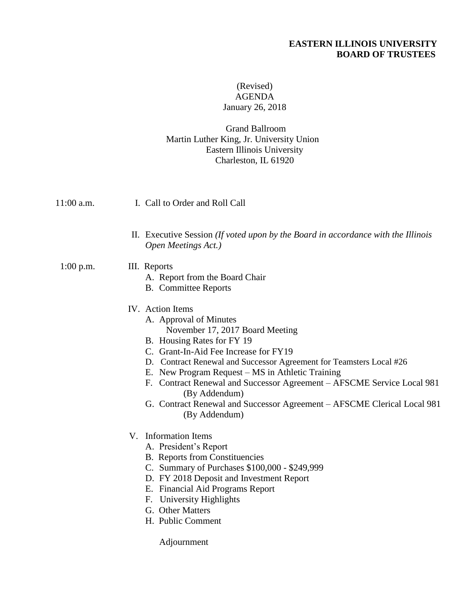# **EASTERN ILLINOIS UNIVERSITY BOARD OF TRUSTEES**

# (Revised) AGENDA January 26, 2018

## Grand Ballroom Martin Luther King, Jr. University Union Eastern Illinois University Charleston, IL 61920

| 11:00 a.m.  | I. Call to Order and Roll Call                                                                                                                                                                                                                                                                                                                                                                                                                                         |
|-------------|------------------------------------------------------------------------------------------------------------------------------------------------------------------------------------------------------------------------------------------------------------------------------------------------------------------------------------------------------------------------------------------------------------------------------------------------------------------------|
|             | II. Executive Session (If voted upon by the Board in accordance with the Illinois<br>Open Meetings Act.)                                                                                                                                                                                                                                                                                                                                                               |
| $1:00$ p.m. | III. Reports<br>A. Report from the Board Chair<br><b>B.</b> Committee Reports                                                                                                                                                                                                                                                                                                                                                                                          |
|             | IV. Action Items<br>A. Approval of Minutes<br>November 17, 2017 Board Meeting<br>B. Housing Rates for FY 19<br>C. Grant-In-Aid Fee Increase for FY19<br>D. Contract Renewal and Successor Agreement for Teamsters Local #26<br>E. New Program Request – MS in Athletic Training<br>F. Contract Renewal and Successor Agreement – AFSCME Service Local 981<br>(By Addendum)<br>G. Contract Renewal and Successor Agreement - AFSCME Clerical Local 981<br>(By Addendum) |
|             | V. Information Items<br>A. President's Report<br><b>B.</b> Reports from Constituencies<br>C. Summary of Purchases \$100,000 - \$249,999<br>D. FY 2018 Deposit and Investment Report<br>E. Financial Aid Programs Report<br>F. University Highlights<br>G. Other Matters<br>H. Public Comment                                                                                                                                                                           |
|             | Adjournment                                                                                                                                                                                                                                                                                                                                                                                                                                                            |